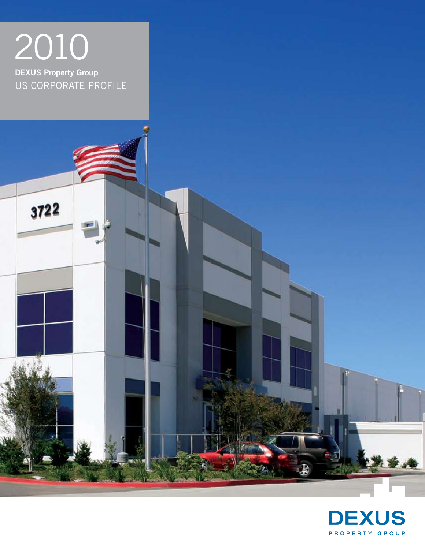

3722

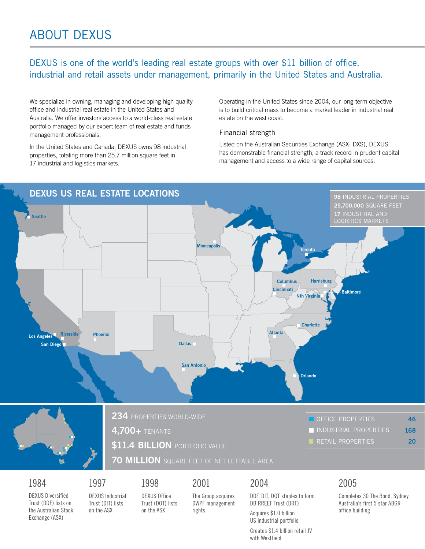### DEXUS is one of the world's leading real estate groups with over \$11 billion of office, industrial and retail assets under management, primarily in the United States and Australia.

We specialize in owning, managing and developing high quality office and industrial real estate in the United States and Australia. We offer investors access to a world-class real estate portfolio managed by our expert team of real estate and funds management professionals.

In the United States and Canada, DEXUS owns 98 industrial properties, totaling more than 25.7 million square feet in 17 industrial and logistics markets.

Operating in the United States since 2004, our long-term objective is to build critical mass to become a market leader in industrial real estate on the west coast.

#### Financial strength

Listed on the Australian Securities Exchange (ASX: DXS), DEXUS has demonstrable financial strength, a track record in prudent capital management and access to a wide range of capital sources.



DEXUS Diversified Trust (DDF) lists on the Australian Stock Exchange (ASX)

DEXUS Industrial Trust (DIT) lists on the ASX

DEXUS Office Trust (DOT) lists on the ASX

The Group acquires DWPF management rights

DB RREEF Trust (DRT) Acquires \$1.0 billion US industrial portfolio

Creates \$1.4 billion retail JV with Westfield

Completes 30 The Bond, Sydney, Australia's first 5 star ABGR office building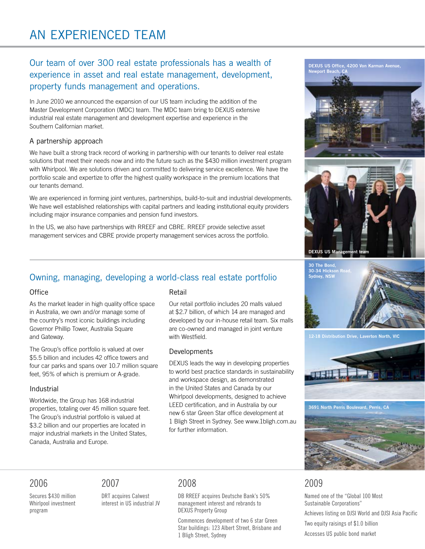### Our team of over 300 real estate professionals has a wealth of experience in asset and real estate management, development, property funds management and operations.

In June 2010 we announced the expansion of our US team including the addition of the Master Development Corporation (MDC) team. The MDC team bring to DEXUS extensive industrial real estate management and development expertise and experience in the Southern Californian market.

### A partnership approach

We have built a strong track record of working in partnership with our tenants to deliver real estate solutions that meet their needs now and into the future such as the \$430 million investment program with Whirlpool. We are solutions driven and committed to delivering service excellence. We have the portfolio scale and expertize to offer the highest quality workspace in the premium locations that our tenants demand.

We are experienced in forming joint ventures, partnerships, build-to-suit and industrial developments. We have well established relationships with capital partners and leading institutional equity providers including major insurance companies and pension fund investors.

In the US, we also have partnerships with RREEF and CBRE. RREEF provide selective asset management services and CBRE provide property management services across the portfolio.

### Owning, managing, developing a world-class real estate portfolio

### **Office**

As the market leader in high quality office space in Australia, we own and/or manage some of the country's most iconic buildings including Governor Phillip Tower, Australia Square and Gateway.

The Group's office portfolio is valued at over \$5.5 billion and includes 42 office towers and four car parks and spans over 10.7 million square feet, 95% of which is premium or A-grade.

### Industrial

Worldwide, the Group has 168 industrial properties, totaling over 45 million square feet. The Group's industrial portfolio is valued at \$3.2 billion and our properties are located in major industrial markets in the United States, Canada, Australia and Europe.

### Retail

Our retail portfolio includes 20 malls valued at \$2.7 billion, of which 14 are managed and developed by our in-house retail team. Six malls are co-owned and managed in joint venture with Westfield.

### Developments

DEXUS leads the way in developing properties to world best practice standards in sustainability and workspace design, as demonstrated in the United States and Canada by our Whirlpool developments, designed to achieve LEED certification, and in Australia by our new 6 star Green Star office development at 1 Bligh Street in Sydney. See www.1bligh.com.au for further information.







### 2006

Secures \$430 million Whirlpool investment program

### 2007

DRT acquires Calwest interest in US industrial JV

### 2008

DB RREEF acquires Deutsche Bank's 50% management interest and rebrands to DEXUS Property Group

Commences development of two 6 star Green Star buildings: 123 Albert Street, Brisbane and 1 Bligh Street, Sydney

### 2009

Named one of the "Global 100 Most Sustainable Corporations" Achieves listing on DJSI World and DJSI Asia Pacific Two equity raisings of \$1.0 billion Accesses US public bond market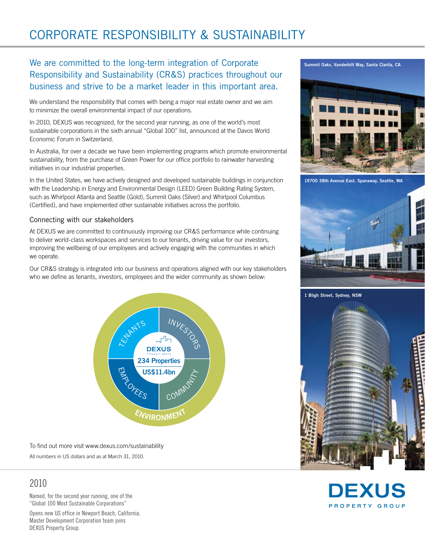## Corporate Responsibility & Sustainability

### We are committed to the long-term integration of Corporate Responsibility and Sustainability (CR&S) practices throughout our business and strive to be a market leader in this important area.

We understand the responsibility that comes with being a major real estate owner and we aim to minimize the overall environmental impact of our operations.

In 2010, DEXUS was recognized, for the second year running, as one of the world's most sustainable corporations in the sixth annual "Global 100" list, announced at the Davos World Economic Forum in Switzerland.

In Australia, for over a decade we have been implementing programs which promote environmental sustainability, from the purchase of Green Power for our office portfolio to rainwater harvesting initiatives in our industrial properties.

In the United States, we have actively designed and developed sustainable buildings in conjunction with the Leadership in Energy and Environmental Design (LEED) Green Building Rating System, such as Whirlpool Atlanta and Seattle (Gold), Summit Oaks (Silver) and Whirlpool Columbus (Certified), and have implemented other sustainable initiatives across the portfolio.

### Connecting with our stakeholders

At DEXUS we are committed to continuously improving our CR&S performance while continuing to deliver world-class workspaces and services to our tenants, driving value for our investors, improving the wellbeing of our employees and actively engaging with the communities in which we operate.

Our CR&S strategy is integrated into our business and operations aligned with our key stakeholders who we define as tenants, investors, employees and the wider community as shown below:



To find out more visit www.dexus.com/sustainability All numbers in US dollars and as at March 31, 2010.

### 2010

Named, for the second year running, one of the "Global 100 Most Sustainable Corporations"

Opens new US office in Newport Beach, California. Master Development Corporation team joins DEXUS Property Group.







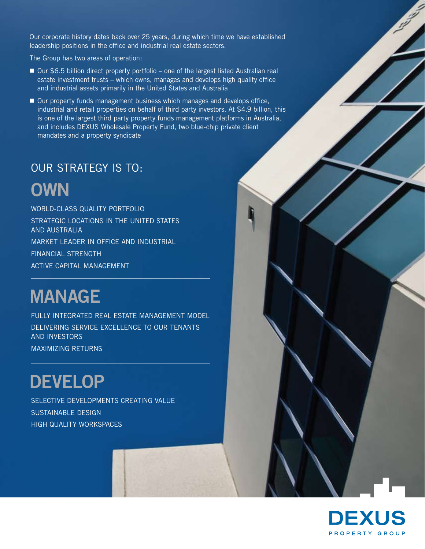Our corporate history dates back over 25 years, during which time we have established leadership positions in the office and industrial real estate sectors.

The Group has two areas of operation:

- Our \$6.5 billion direct property portfolio one of the largest listed Australian real estate investment trusts – which owns, manages and develops high quality office and industrial assets primarily in the United States and Australia
- Our property funds management business which manages and develops office, industrial and retail properties on behalf of third party investors. At \$4.9 billion, this is one of the largest third party property funds management platforms in Australia, and includes DEXUS Wholesale Property Fund, two blue-chip private client mandates and a property syndicate

### our strategy is to:

# **OWN**

WORLD-CLASS QUALITY PORTFOLIO STRATEGIC LOCATIONS IN THE UNITED STATES AND AUSTRALIA MARKET LEADER IN OFFICE AND INDUSTRIAL FINANCIAL STRENGTH ACTIVE CAPITAL MANAGEMENT

# **MANAGE**

FULLY INTEGRATED Real estate MANAGEMENT MODEL DELIVERING SERVICE EXCELLENCE TO OUR TENANTS AND INVESTORS MAXIMIZING RETURNS

# **DEVELOP**

SELECTIVE DEVELOPMENTS CREATING VALUE SUSTAINABLE DESIGN HIGH QUALITY WORKSPACES